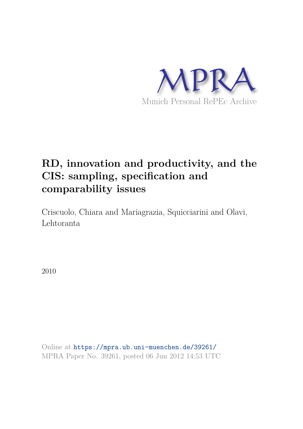

## **RD, innovation and productivity, and the CIS: sampling, specification and comparability issues**

Criscuolo, Chiara and Mariagrazia, Squicciarini and Olavi, Lehtoranta

2010

Online at https://mpra.ub.uni-muenchen.de/39261/ MPRA Paper No. 39261, posted 06 Jun 2012 14:53 UTC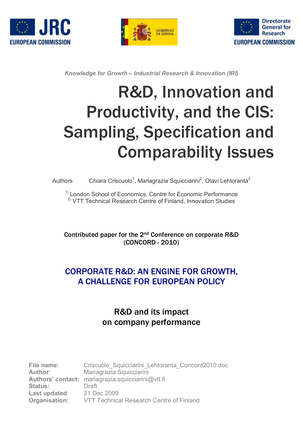





*Knowledge for Growth – Industrial Research & Innovation (IRI)*

# R&D, Innovation and Productivity, and the CIS: Sampling, Specification and Comparability Issues

#### Authors Chiara Criscuolo<sup>1</sup>, Mariagrazia Squicciarini<sup>2</sup>, Olavi Lehtoranta<sup>2</sup>

<sup>1)</sup> London School of Economics, Centre for Economic Performance <sup>2)</sup> VTT Technical Research Centre of Finland, Innovation Studies

Contributed paper for the 2<sup>nd</sup> Conference on corporate R&D (CONCORD - 2010)

## CORPORATE R&D: AN ENGINE FOR GROWTH, A CHALLENGE FOR EUROPEAN POLICY

## R&D and its impact on company performance

| File name:           | Criscuolo Squicciarini Lehtoranta Concord2010.doc |
|----------------------|---------------------------------------------------|
| <b>Author:</b>       | Mariagrazia Squicciarini                          |
|                      | Authors' contact: mariagrazia.squicciarini@vtt.fi |
| <b>Status:</b>       | Draft                                             |
| Last updated:        | 21 Dec 2009                                       |
| <b>Organisation:</b> | VTT Technical Research Centre of Finland          |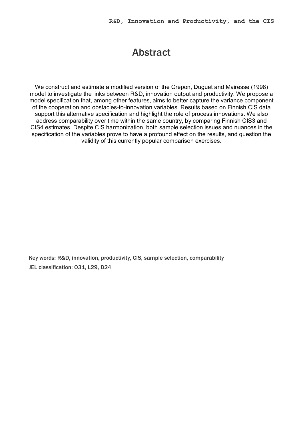## Abstract

We construct and estimate a modified version of the Crépon, Duguet and Mairesse (1998) model to investigate the links between R&D, innovation output and productivity. We propose a model specification that, among other features, aims to better capture the variance component of the cooperation and obstacles-to-innovation variables. Results based on Finnish CIS data support this alternative specification and highlight the role of process innovations. We also address comparability over time within the same country, by comparing Finnish CIS3 and CIS4 estimates. Despite CIS harmonization, both sample selection issues and nuances in the specification of the variables prove to have a profound effect on the results, and question the validity of this currently popular comparison exercises.

Key words: R&D, innovation, productivity, CIS, sample selection, comparability JEL classification: 031, L29, D24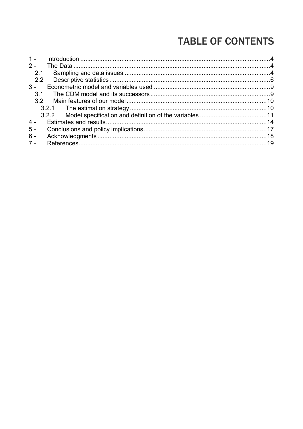# **TABLE OF CONTENTS**

| $2 -$ |  |
|-------|--|
|       |  |
| 2.1   |  |
| 2.2   |  |
| $3 -$ |  |
| 3.1   |  |
| 3.2   |  |
|       |  |
|       |  |
| $4 -$ |  |
| $5 -$ |  |
| $6 -$ |  |
| $7 -$ |  |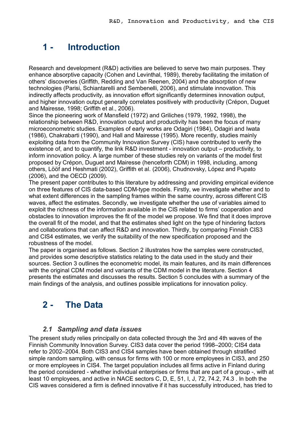## **1 Introduction**

Research and development (R&D) activities are believed to serve two main purposes. They enhance absorptive capacity (Cohen and Levinthal, 1989), thereby facilitating the imitation of others' discoveries (Griffith, Redding and Van Reenen, 2004) and the absorption of new technologies (Parisi, Schiantarelli and Sembenelli, 2006), and stimulate innovation. This indirectly affects productivity, as innovation effort significantly determines innovation output, and higher innovation output generally correlates positively with productivity (Crépon, Duguet and Mairesse, 1998; Griffith et al., 2006).

Since the pioneering work of Mansfield (1972) and Griliches (1979, 1992, 1998), the relationship between R&D, innovation output and productivity has been the focus of many microeconometric studies. Examples of early works are Odagiri (1984), Odagiri and Iwata (1986), Chakrabarti (1990), and Hall and Mairesse (1995). More recently, studies mainly exploiting data from the Community Innovation Survey (CIS) have contributed to verify the existence of, and to quantify, the link R&D investment - innovation output – productivity, to inform innovation policy. A large number of these studies rely on variants of the model first proposed by Crépon, Duguet and Mairesse (henceforth CDM) in 1998, including, among others, Lööf and Heshmati (2002), Griffith et al. (2006), Chudnovsky, López and Pupato (2006), and the OECD (2009).

The present paper contributes to this literature by addressing and providing empirical evidence on three features of CIS data-based CDM-type models. Firstly, we investigate whether and to what extent differences in the sampling frames within the same country, across different CIS waves, affect the estimates. Secondly, we investigate whether the use of variables aimed to exploit the richness of the information available in the CIS related to firms' cooperation and obstacles to innovation improves the fit of the model we propose. We find that it does improve the overall fit of the model, and that the estimates shed light on the type of hindering factors and collaborations that can affect R&D and innovation. Thirdly, by comparing Finnish CIS3 and CIS4 estimates, we verify the suitability of the new specification proposed and the robustness of the model.

The paper is organised as follows. Section 2 illustrates how the samples were constructed, and provides some descriptive statistics relating to the data used in the study and their sources. Section 3 outlines the econometric model, its main features, and its main differences with the original CDM model and variants of the CDM model in the literature. Section 4 presents the estimates and discusses the results. Section 5 concludes with a summary of the main findings of the analysis, and outlines possible implications for innovation policy.

## **2 The Data**

#### *2.1 Sampling and data issues*

The present study relies principally on data collected through the 3rd and 4th waves of the Finnish Community Innovation Survey. CIS3 data cover the period 1998–2000; CIS4 data refer to 2002–2004. Both CIS3 and CIS4 samples have been obtained through stratified simple random sampling, with census for firms with 100 or more employees in CIS3, and 250 or more employees in CIS4. The target population includes all firms active in Finland during the period considered whether individual enterprises or firms that are part of a group , with at least 10 employees, and active in NACE sectors C, D, E, 51, I, J, 72, 74.2, 74.3 . In both the CIS waves considered a firm is defined innovative if it has successfully introduced, has tried to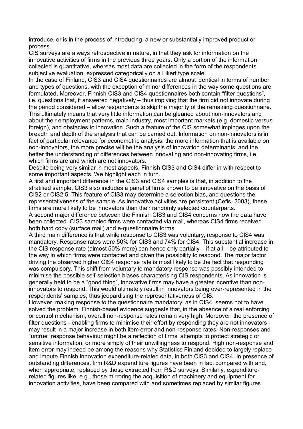introduce, or is in the process of introducing, a new or substantially improved product or process.

CIS surveys are always retrospective in nature, in that they ask for information on the innovative activities of firms in the previous three years. Only a portion of the information collected is quantitative, whereas most data are collected in the form of the respondents' subjective evaluation, expressed categorically on a Likert type scale.

In the case of Finland, CIS3 and CIS4 questionnaires are almost identical in terms of number and types of questions, with the exception of minor differences in the way some questions are formulated. Moreover, Finnish CIS3 and CIS4 questionnaires both contain "filter questions", i.e. questions that, if answered negatively – thus implying that the firm did not innovate during the period considered – allow respondents to skip the majority of the remaining questionnaire. This ultimately means that very little information can be gleaned about non-innovators and about their employment patterns, main industry, most important markets (e.g. domestic versus foreign), and obstacles to innovation. Such a feature of the CIS somewhat impinges upon the breadth and depth of the analysis that can be carried out. Information on non-innovators is in fact of particular relevance for econometric analysis: the more information that is available on non-innovators, the more precise will be the analysis of innovation determinants; and the better the understanding of differences between innovating and non-innovating firms, i.e. which firms are and which are not innovators.

Despite being very similar in most aspects, Finnish CIS3 and CIS4 differ in with respect to some important aspects. We highlight each in turn.

A first and important difference in the CIS3 and CIS4 samples is that, in addition to the stratified sample, CIS3 also includes a panel of firms known to be innovative on the basis of CIS2 or CIS2.5. This feature of CIS3 may determine a selection bias, and questions the representativeness of the sample. As innovative activities are persistent (Cefis, 2003), these firms are more likely to be innovators than their randomly selected counterparts. A second major difference between the Finnish CIS3 and CIS4 concerns how the data have been collected. CIS3 sampled firms were contacted via mail, whereas CIS4 firms received both hard copy (surface mail) and e-questionnaire forms.

A third main difference is that while response to CIS3 was voluntary, response to CIS4 was mandatory. Response rates were 50% for CIS3 and 74% for CIS4. This substantial increase in the CIS response rate (almost 50% more) can hence only partially – if at all – be attributed to the way in which firms were contacted and given the possibility to respond. The major factor driving the observed higher CIS4 response rate is most likely to be the fact that responding was compulsory. This shift from voluntary to mandatory response was possibly intended to minimise the possible self-selection biases characterising CIS respondents. As innovation is generally held to be a "good thing", innovative firms may have a greater incentive than non innovators to respond. This would ultimately result in innovators being over-represented in the respondents' samples, thus jeopardising the representativeness of CIS.

However, making response to the questionnaire mandatory, as in CIS4, seems not to have solved the problem. Finnish-based evidence suggests that, in the absence of a real enforcing or control mechanism, overall non-response rates remain very high. Moreover, the presence of filter questions - enabling firms to minimise their effort by responding they are not innovators may result in a major increase in both item error and non-response rates. Non-responses and "untrue" response behaviour might be a reflection of firms' attempts to protect strategic or sensitive information, or more simply of their unwillingness to respond. High non-response and item error may indeed be among the reasons why Statistics Finland decided to largely replace and impute Finnish innovation expenditure-related data, in both CIS3 and CIS4. In presence of outstanding differences, firm R&D expenditure figures have been in fact compared with and, when appropriate, replaced by those extracted from R&D surveys. Similarly, expenditurerelated figures like, e.g., those mirroring the acquisition of machinery and equipment for innovation activities, have been compared with and sometimes replaced by similar figures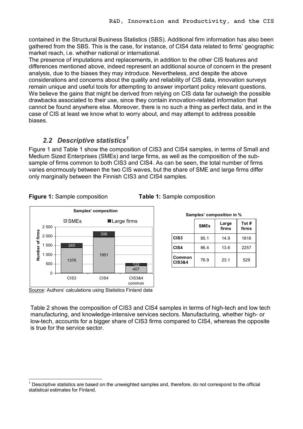contained in the Structural Business Statistics (SBS). Additional firm information has also been gathered from the SBS. This is the case, for instance, of CIS4 data related to firms' geographic market reach, i.e. whether national or international.

The presence of imputations and replacements, in addition to the other CIS features and differences mentioned above, indeed represent an additional source of concern in the present analysis, due to the biases they may introduce. Nevertheless, and despite the above considerations and concerns about the quality and reliability of CIS data, innovation surveys remain unique and useful tools for attempting to answer important policy relevant questions. We believe the gains that might be derived from relying on CIS data far outweigh the possible drawbacks associated to their use, since they contain innovationrelated information that cannot be found anywhere else. Moreover, there is no such a thing as perfect data, and in the case of CIS at least we know what to worry about, and may attempt to address possible biases.

#### *2.2 Descriptive statistics <sup>1</sup>*

Figure 1 and Table 1 show the composition of CIS3 and CIS4 samples, in terms of Small and Medium Sized Enterprises (SMEs) and large firms, as well as the composition of the sub sample of firms common to both CIS3 and CIS4. As can be seen, the total number of firms varies enormously between the two CIS waves, but the share of SME and large firms differ only marginally between the Finnish CIS3 and CIS4 samples.



#### **Figure 1:** Sample composition **Table 1:** Sample composition

| Samples' composition in %   |             |                |      |  |  |  |  |  |  |  |  |
|-----------------------------|-------------|----------------|------|--|--|--|--|--|--|--|--|
|                             | <b>SMEs</b> | Tot #<br>firms |      |  |  |  |  |  |  |  |  |
| CIS <sub>3</sub>            | 85.1        | 14.9           | 1616 |  |  |  |  |  |  |  |  |
| CIS4                        | 86.4        | 13.6           | 2257 |  |  |  |  |  |  |  |  |
| Common<br><b>CIS3&amp;4</b> | 76.9        | 23.1           | 529  |  |  |  |  |  |  |  |  |

Source: Authors' calculations using Statistics Finland data

Table 2 shows the composition of CIS3 and CIS4 samples in terms of high-tech and low tech manufacturing, and knowledge-intensive services sectors. Manufacturing, whether high- or lowtech, accounts for a bigger share of CIS3 firms compared to CIS4, whereas the opposite is true for the service sector.

<sup>1</sup>Descriptive statistics are based on the unweighted samples and, therefore, do not correspond to the official statistical estimates for Finland.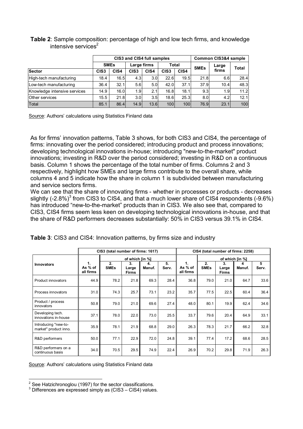|                              |                  |      | CIS3 and CIS4 full samples |      |                  |      | <b>Common CIS3&amp;4 sample</b> |       |              |  |
|------------------------------|------------------|------|----------------------------|------|------------------|------|---------------------------------|-------|--------------|--|
|                              | <b>SMEs</b>      |      | Large firms                |      | Total            |      | <b>SMEs</b>                     | Large | <b>Total</b> |  |
| Sector                       | CIS <sub>3</sub> | CIS4 | CIS <sub>3</sub>           | CIS4 | CIS <sub>3</sub> | CIS4 |                                 | firms |              |  |
| High-tech manufacturing      | 18.4             | 16.5 | 4.3                        | 3.0  | 22.6             | 19.5 | 21.8                            | 6.6   | 28.4         |  |
| Low-tech manufacturing       | 36.4             | 32.1 |                            | 5.0  | 42.0             | 37.1 | 37.9                            | 10.4  | 48.3         |  |
| Knowledge intensive services | 14.9             | 16.0 | 1.9                        | 2.1  | 16.8             | 18.1 | 9.3                             | 1.9   | 11.2         |  |
| <b>Other services</b>        | 15.5             | 21.8 | 3.0                        | 3.5  | 18.6             | 25.3 | 8.0 <sub>l</sub>                | 4.2   | 12.1         |  |
| Total                        | 85.1             | 86.4 | 14.9                       | 13.6 | 100              | 100  | 76.9                            | 23.1  | 100          |  |

**Table 2**: Sample composition: percentage of high and low tech firms, and knowledge intensive services $2$ 

Source: Authors' calculations using Statistics Finland data

As for firms' innovation patterns, Table 3 shows, for both CIS3 and CIS4, the percentage of firms: innovating over the period considered; introducing product and process innovations; developing technological innovations in-house; introducing "new-to-the-market" product innovations; investing in R&D over the period considered; investing in R&D on a continuous basis. Column 1 shows the percentage of the total number of firms. Columns 2 and 3 respectively, highlight how SMEs and large firms contribute to the overall share, while columns 4 and 5 indicate how the share in column 1 is subdivided between manufacturing and service sectors firms.

We can see that the share of innovating firms - whether in processes or products - decreases slightly  $(-2.8\%)^3$  from CIS3 to CIS4, and that a much lower share of CIS4 respondents  $(-9.6\%)$ has introduced "new-to-the-market" products than in CIS3. We also see that, compared to CIS3, CIS4 firms seem less keen on developing technological innovations in-house, and that the share of R&D performers decreases substantially: 50% in CIS3 versus 39.1% in CIS4.

|                                               |                            | CIS3 (total number of firms: 1617) |                      |              |             | CIS4 (total number of firms: 2258) |                   |                             |                 |            |  |  |
|-----------------------------------------------|----------------------------|------------------------------------|----------------------|--------------|-------------|------------------------------------|-------------------|-----------------------------|-----------------|------------|--|--|
|                                               |                            |                                    | of which [in %]      |              |             |                                    |                   |                             | of which [in %] |            |  |  |
| <b>Innovators</b>                             | 1.<br>As % of<br>all firms | 2.<br><b>SMEs</b>                  | 3.<br>Large<br>Firms | 4.<br>Manuf. | 5.<br>Serv. | 1.<br>As % of<br>all firms         | 2.<br><b>SMEs</b> | 3.<br>Large<br><b>Firms</b> | 4<br>Manuf.     | 5<br>Serv. |  |  |
| Product innovators                            | 44.9                       | 78.2                               | 21.8                 | 69.3         | 28.4        | 36.8                               | 79.0              | 21.0                        | 64.7            | 33.6       |  |  |
| Process innovators                            | 31.0                       | 74.3                               | 25.7                 | 73.1         | 23.2        | 35.7                               | 77.5              | 22.5                        | 60.4            | 36.4       |  |  |
| Product / process<br>innovators               | 50.8                       | 79.0                               | 21.0                 | 69.6         | 27.4        | 48.0                               | 80.1              | 19.9                        | 62.4            | 34.6       |  |  |
| Developing tech.<br>innovations in-house      | 37.1                       | 78.0                               | 22.0                 | 73.0         | 25.5        | 33.7                               | 79.6              | 20.4                        | 64.9            | 33.1       |  |  |
| Introducing "new-to-<br>market" product inno. | 35.9                       | 78.1                               | 21.9                 | 68.8         | 29.0        | 26.3                               | 78.3              | 21.7                        | 66.2            | 32.8       |  |  |
| R&D performers                                | 50.0                       | 77.1                               | 22.9                 | 72.0         | 24.8        | 39.1                               | 77.4              | 17.2                        | 68.6            | 28.5       |  |  |
| R&D performers on a<br>continuous basis       | 34.0                       | 70.5                               | 29.5                 | 74.9         | 22.4        | 26.9                               | 70.2              | 29.8                        | 71.9            | 26.3       |  |  |

**Table 3**: CIS3 and CIS4: Innovation patterns, by firms size and industry

Source: Authors' calculations using Statistics Finland data

 $2$  See Hatzichronoglou (1997) for the sector classifications.

 $3$  Differences are expressed simply as (CIS3 – CIS4) values.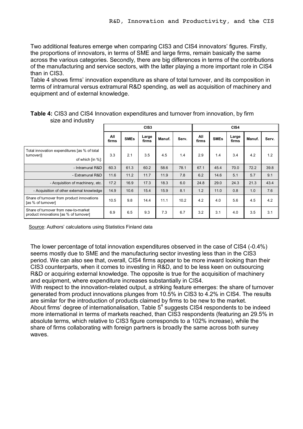Two additional features emerge when comparing CIS3 and CIS4 innovators' figures. Firstly, the proportions of innovators, in terms of SME and large firms, remain basically the same across the various categories. Secondly, there are big differences in terms of the contributions of the manufacturing and service sectors, with the latter playing a more important role in CIS4 than in CIS3.

Table 4 shows firms' innovation expenditure as share of total turnover, and its composition in terms of intramural versus extramural R&D spending, as well as acquisition of machinery and equipment and of external knowledge.

|                                                                                |              |             | CIS <sub>3</sub> |        |       |              |             | CIS4           |        |       |
|--------------------------------------------------------------------------------|--------------|-------------|------------------|--------|-------|--------------|-------------|----------------|--------|-------|
|                                                                                | All<br>firms | <b>SMEs</b> | Large<br>firms   | Manuf. | Serv. | All<br>firms | <b>SMEs</b> | Large<br>firms | Manuf. | Serv. |
| Total innovation expenditures [as % of total<br>turnover)]<br>of which [in %]: | 3.3          | 2.1         | 3.5              | 4.5    | 1.4   | 2.9          | 1.4         | 3.4            | 4.2    | 1.2   |
| - Intramural R&D                                                               | 60.3         | 61.3        | 60.2             | 58.6   | 78.1  | 67.1         | 45.4        | 70.0           | 72.2   | 39.8  |
| - Extramural R&D                                                               | 11.6         | 11.2        | 11.7             | 11.9   | 7.8   | 6.2          | 14.6        | 5.1            | 5.7    | 9.1   |
| - Acquisition of machinery, etc.                                               | 17.2         | 16.9        | 17.3             | 18.3   | 6.0   | 24.8         | 29.0        | 24.3           | 21.3   | 43.4  |
| - Acquisition of other external knowledge                                      | 14.9         | 10.6        | 15.4             | 15.9   | 8.1   | 1.2          | 11.0        | 0.8            | 1.0    | 7.6   |
| Share of turnover from product innovations<br>[as % of turnover]               | 10.5         | 9.8         | 14.4             | 11.1   | 10.2  | 4.2          | 4.0         | 5.6            | 4.5    | 4.2   |
| Share of turnover from new-to-market<br>product innovations [as % of turnover] | 6.9          | 6.5         | 9.3              | 7.3    | 6.7   | 3.2          | 3.1         | 4.0            | 3.5    | 3.1   |

| Table 4: CIS3 and CIS4 Innovation expenditures and turnover from innovation, by firm |  |  |
|--------------------------------------------------------------------------------------|--|--|
| size and industry                                                                    |  |  |

Source: Authors' calculations using Statistics Finland data

The lower percentage of total innovation expenditures observed in the case of CIS4 (-0.4%) seems mostly due to SME and the manufacturing sector investing less than in the CIS3 period. We can also see that, overall, CIS4 firms appear to be more inward looking than their CIS3 counterparts, when it comes to investing in R&D, and to be less keen on outsourcing R&D or acquiring external knowledge. The opposite is true for the acquisition of machinery and equipment, where expenditure increases substantially in CIS4.

With respect to the innovation-related output, a striking feature emerges: the share of turnover generated from product innovations plunges from 10.5% in CIS3 to 4.2% in CIS4. The results are similar for the introduction of products claimed by firms to be new to the market. About firms' degree of internationalisation, Table  $5<sup>4</sup>$  suggests CIS4 respondents to be indeed more international in terms of markets reached, than CIS3 respondents (featuring an 29.5% in absolute terms, which relative to CIS3 figure corresponds to a 102% increase), while the share of firms collaborating with foreign partners is broadly the same across both survey waves.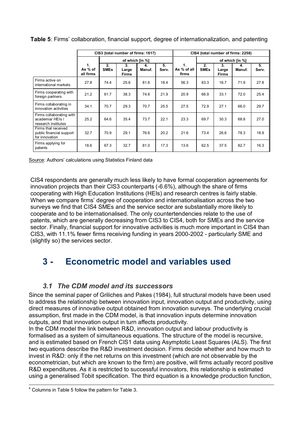|                                                                   |                            |                   | CIS3 (total number of firms: 1617) |              |             | CIS4 (total number of firms: 2258) |                   |                      |              |             |  |  |
|-------------------------------------------------------------------|----------------------------|-------------------|------------------------------------|--------------|-------------|------------------------------------|-------------------|----------------------|--------------|-------------|--|--|
|                                                                   |                            |                   | of which [in %]                    |              |             |                                    |                   | of which [in %]      |              |             |  |  |
|                                                                   | 1.<br>As % of<br>all firms | 2.<br><b>SMEs</b> | 3.<br>Large<br><b>Firms</b>        | 4.<br>Manuf. | 5.<br>Serv. | 1.<br>As % of all<br>firms         | 2.<br><b>SMEs</b> | 3.<br>Large<br>Firms | 4.<br>Manuf. | 5.<br>Serv. |  |  |
| Firms active on<br>international markets                          | 27.8                       | 74.4              | 25.6                               | 81.6         | 18.4        | 56.3                               | 83.3              | 16.7                 | 71.9         | 27.8        |  |  |
| Firms cooperating with<br>foreign partners                        | 21.2                       | 61.7              | 38.3                               | 74.6         | 21.9        | 20.9                               | 66.9              | 33.1                 | 72.0         | 25.4        |  |  |
| Firms collaborating in<br>innovation activities                   | 34.1                       | 70.7              | 29.3                               | 70.7         | 25.5        | 27.5                               | 72.9              | 27.1                 | 66.0         | 29.7        |  |  |
| Firms collaborating with<br>academia/HEIs/<br>research institutes | 25.2                       | 64.6              | 35.4                               | 73.7         | 22.1        | 23.3                               | 69.7              | 30.3                 | 68.8         | 27.0        |  |  |
| Firms that received<br>public financial support<br>for innovation | 32.7                       | 70.9              | 29.1                               | 76.6         | 20.2        | 21.6                               | 73.4              | 26.6                 | 78.3         | 18.9        |  |  |
| Firms applying for<br>patents                                     | 18.6                       | 67.3              | 32.7                               | 81.0         | 17.3        | 13.6                               | 62.5              | 37.5                 | 82.7         | 16.3        |  |  |

**Table 5**: Firms' collaboration, financial support, degree of internationalization, and patenting

Source: Authors' calculations using Statistics Finland data

CIS4 respondents are generally much less likely to have formal cooperation agreements for innovation projects than their CIS3 counterparts (-6.6%), although the share of firms cooperating with High Education Institutions (HEIs) and research centres is fairly stable. When we compare firms' degree of cooperation and internationalisation across the two surveys we find that CIS4 SMEs and the service sector are substantially more likely to cooperate and to be internationalised. The only countertendencies relate to the use of patents, which are generally decreasing from CIS3 to CIS4, both for SMEs and the service sector. Finally, financial support for innovative activities is much more important in CIS4 than CIS3, with 11.1% fewer firms receiving funding in years 2000-2002 - particularly SME and (slightly so) the services sector.

## **3 Econometric model and variables used**

#### *3.1 The CDM model and its successors*

Since the seminal paper of Griliches and Pakes (1984), full structural models have been used to address the relationship between innovation input, innovation output and productivity, using direct measures of innovative output obtained from innovation surveys. The underlying crucial assumption, first made in the CDM model, is that innovation inputs determine innovation outputs, and that innovation output in turn affects productivity.

In the CDM model the link between R&D, innovation output and labour productivity is formalised as a system of simultaneous equations. The structure of the model is recursive, and is estimated based on French CIS1 data using Asymptotic Least Squares (ALS). The first two equations describe the R&D investment decision. Firms decide whether and how much to invest in R&D: only if the net returns on this investment (which are not observable by the econometrician, but which are known to the firm) are positive, will firms actually record positive R&D expenditures. As it is restricted to successful innovators, this relationship is estimated using a generalised Tobit specification. The third equation is a knowledge production function,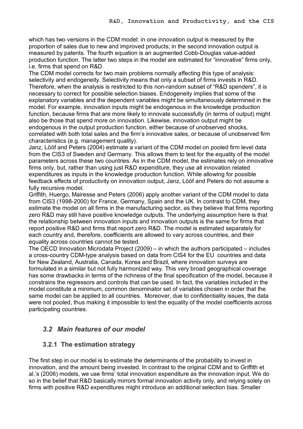which has two versions in the CDM model: in one innovation output is measured by the proportion of sales due to new and improved products; in the second innovation output is measured by patents. The fourth equation is an augmented Cobb-Douglas value-added production function. The latter two steps in the model are estimated for "innovative" firms only, i.e. firms that spend on R&D.

The CDM model corrects for two main problems normally affecting this type of analysis: selectivity and endogeneity. Selectivity means that only a subset of firms invests in R&D. Therefore, when the analysis is restricted to this non-random subset of "R&D spenders", it is necessary to correct for possible selection biases. Endogeneity implies that some of the explanatory variables and the dependent variables might be simultaneously determined in the model. For example, innovation inputs might be endogenous in the knowledge production function, because firms that are more likely to innovate successfully (in terms of output) might also be those that spend more on innovation. Likewise, innovation output might be endogenous in the output production function, either because of unobserved shocks, correlated with both total sales and the firm's innovative sales, or because of unobserved firm characteristics (e.g. management quality).

Janz, Lööf and Peters (2004) estimate a variant of the CDM model on pooled firm level data from the CIS3 of Sweden and Germany. This allows them to test for the equality of the model parameters across these two countries. As in the CDM model, the estimates rely on innovative firms only, but, rather than using just R&D expenditure, they use all innovation related expenditures as inputs in the knowledge production function. While allowing for possible feedback effects of productivity on innovation output, Janz, Lööf and Peters do not assume a fully recursive model.

Griffith, Huergo, Mairesse and Peters (2006) apply another variant of the CDM model to data from CIS3 (1998-2000) for France, Germany, Spain and the UK. In contrast to CDM, they estimate the model on all firms in the manufacturing sector, as they believe that firms reporting zero R&D may still have positive knowledge outputs. The underlying assumption here is that the relationship between innovation inputs and innovation outputs is the same for firms that report positive R&D and firms that report zero R&D. The model is estimated separately for each country and, therefore, coefficients are allowed to vary across countries, and their equality across countries cannot be tested.

The OECD Innovation Microdata Project (2009) – in which the authors participated – includes a cross-country CDM-type analysis based on data from CIS4 for the EU countries and data for New Zealand, Australia, Canada, Korea and Brazil, where innovation surveys are formulated in a similar but not fully harmonized way. This very broad geographical coverage has some drawbacks in terms of the richness of the final specification of the model, because it constrains the regressors and controls that can be used. In fact, the variables included in the model constitute a minimum, common denominator set of variables chosen in order that the same model can be applied to all countries. Moreover, due to confidentiality issues, the data were not pooled, thus making it impossible to test the equality of the model coefficients across participating countries.

#### *3.2 Main features of our model*

#### **3.2.1 The estimation strategy**

The first step in our model is to estimate the determinants of the probability to invest in innovation, and the amount being invested. In contrast to the original CDM and to Griffith et al.'s (2006) models, we use firms' total innovation expenditure as the innovation input. We do so in the belief that R&D basically mirrors formal innovation activity only, and relying solely on firms with positive R&D expenditures might introduce an additional selection bias. Smaller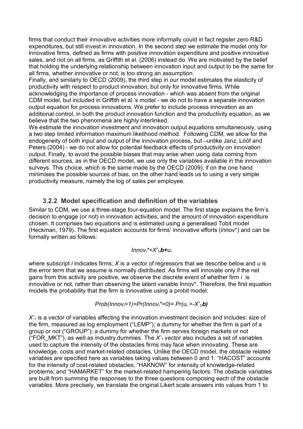firms that conduct their innovative activities more informally could in fact register zero R&D expenditures, but still invest in innovation. In the second step we estimate the model only for innovative firms, defined as firms with positive innovation expenditure and positive innovative sales, and not on all firms, as Griffith et al. (2006) instead do. We are motivated by the belief that holding the underlying relationship between innovation input and output to be the same for all firms, whether innovative or not, is too strong an assumption.

Finally, and similarly to OECD (2009), the third step in our model estimates the elasticity of productivity with respect to product innovation, but only for innovative firms. While acknowledging the importance of process innovation which was absent from the original CDM model, but included in Griffith et al.'s model - we do not to have a separate innovation output equation for process innovations. We prefer to include process innovation as an additional control, in both the product innovation function and the productivity equation, as we believe that the two phenomena are highly interlinked.

We estimate the innovation investment and innovation output equations simultaneously, using a two step limited information maximum likelihood method. Following CDM, we allow for the endogeneity of both input and output of the innovation process, but –unlike Janz, Lööf and Peters (2004) - we do not allow for potential feedback effects of productivity on innovation output. Finally, to avoid the possible biases that may arise when using data coming from different sources, as in the OECD model, we use only the variables available in the innovation surveys. This choice, which is the same made by the OECD (2009), if on the one hand minimises the possible sources of bias, on the other hand leads us to using a very simple productivity measure, namely the log of sales per employee.

#### **3.2.2 Model specification and definition of the variables**

Similar to CDM, we use a three-stage four-equation model. The first stage explains the firm's decision to engage (or not) in innovation activities, and the amount of innovation expenditure chosen. It comprises two equations and is estimated using a generalised Tobit model (Heckman, 1979). The first equation accounts for firms' innovative efforts (innov\*) and can be formally written as follows:

#### *Innovi\*=X'1ib+u<sup>i</sup>*

where subscript *i* indicates firms; *X* is a vector of regressors that we describe below and *u* is the error term that we assume is normally distributed. As firms will innovate only if the net gains from this activity are positive, we observe the discrete event of whether firm *i* is innovative or not, rather than observing the latent variable Innov\*. Therefore, the first equation models the probability that the firm is innovative using a probit model:

#### *Prob(Innovi=1)=Pr(Innovi\*>0)= Pr(ui >X'1ib)*

*X'<sup>1</sup>* is a vector of variables affecting the innovation investment decision and includes: size of the firm, measured as log employment ("LEMP"); a dummy for whether the firm is part of a group or not ("GROUP"); a dummy for whether the firm serves foreign markets or not ("FOR MKT"), as well as industry dummies. The  $X'_1$  vector also includes a set of variables used to capture the intensity of the obstacles firms may face when innovating. These are knowledge, costs and market-related obstacles. Unlike the OECD model, the obstacle related variables are specified here as variables taking values between 0 and 1. "HACOST" accounts for the intensity of cost-related obstacles; "HAKNOW" for intensity of knowledge-related problems; and "HAMARKET" for the market-related hampering factors. The obstacle variables are built from summing the responses to the three questions composing each of the obstacle variables. More precisely, we translate the original Likert scale answers into values from 1 to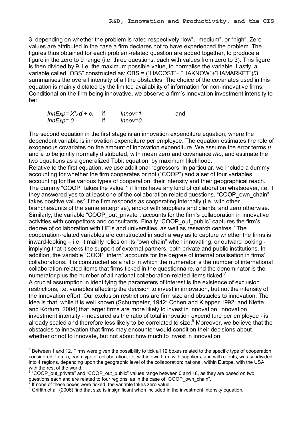3, depending on whether the problem is rated respectively "low", "medium", or "high". Zero values are attributed in the case a firm declares not to have experienced the problem. The figures thus obtained for each problem-related question are added together, to produce a figure in the zero to 9 range (i.e. three questions, each with values from zero to 3). This figure is then divided by 9, i.e. the maximum possible value, to normalise the variable. Lastly, a variable called "OBS" constructed as: OBS = ("HACOST"+ "HAKNOW"+"HAMARKET")/3 summarises the overall intensity of all the obstacles. The choice of the covariates used in this equation is mainly dictated by the limited availability of information for non-innovative firms. Conditional on the firm being innovative, we observe a firm's innovation investment intensity to be:

| $InnExp = X'_2 d + e_i$ | $Innov=1$ | and |
|-------------------------|-----------|-----|
| $InnExp = 0$            | Innov=0   |     |

The second equation in the first stage is an innovation expenditure equation, where the dependent variable is innovation expenditure per employee. The equation estimates the role of exogenous covariates on the amount of innovation expenditure. We assume the error terms *u* and *e* to be jointly normally distributed, with mean zero and covariance *rho*, and estimate the two equations as a generalized Tobit equation, by maximum likelihood. Relative to the first equation, we use additional regressors. In particular, we include a dummy accounting for whether the firm cooperates or not ("COOP") and a set of four variables accounting for the various types of cooperation, their intensity and their geographical reach. The dummy "COOP" takes the value 1 if firms have any kind of collaboration whatsoever, i.e. if they answered yes to at least one of the collaboration-related questions. "COOP\_own\_chain" takes positive values<sup>5</sup> if the firm responds as cooperating internally (i.e. with other branches/units of the same enterprise), and/or with suppliers and clients, and zero otherwise. Similarly, the variable "COOP\_out\_private", accounts for the firm's collaboration in innovative activities with competitors and consultants. Finally "COOP\_out\_public" captures the firm's degree of collaboration with HEIs and universities, as well as research centres.<sup>6</sup> The cooperation-related variables are constructed in such a way as to capture whether the firms is inward-looking  $-$  i.e. it mainly relies on its "own chain" when innovating, or outward looking implying that it seeks the support of external partners, both private and public institutions. In addition, the variable "COOP intern" accounts for the degree of internationalisation in firms' collaborations. It is constructed as a ratio in which the numerator is the number of international collaboration-related items that firms ticked in the questionnaire, and the denominator is the numerator plus the number of all national collaboration-related items ticked.<sup>7</sup> A crucial assumption in identifying the parameters of interest is the existence of exclusion restrictions, i.e. variables affecting the decision to invest in innovation, but not the intensity of the innovation effort. Our exclusion restrictions are firm size and obstacles to innovation. The idea is that, while it is well known (Schumpeter, 1942; Cohen and Klepper 1992; and Klette and Kortum, 2004) that larger firms are more likely to invest in innovation, innovation investment intensity - measured as the ratio of total innovation expenditure per employee - is already scaled and therefore less likely to be correlated to size.<sup>8</sup> Moreover, we believe that the obstacles to innovation that firms may encounter would condition their decisions about whether or not to innovate, but not about how much to invest in innovation.

<sup>&</sup>lt;sup>5</sup> Between 1 and 12. Firms were given the possibility to tick all 12 boxes related to the specific type of cooperation considered. In turn, each type of collaboration, i.e. within own firm, with suppliers, and with clients, was subdivided into 4 regions, depending upon the geographic level of the collaboration: national, within Europe, with the USA, with the rest of the world.

<sup>&</sup>lt;sup>6</sup> "COOP out\_private" and "COOP\_out\_public" values range between 0 and 18, as they are based on two questions each and are related to four regions, as in the case of "COOP\_own\_chain".

If none of these boxes were ticked, the variable takes zero value.

<sup>&</sup>lt;sup>8</sup> Griffith et al. (2006) find that size is insignificant when included in the investment intensity equation.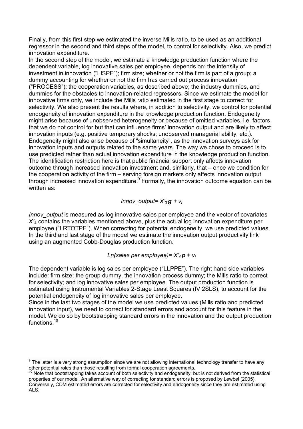Finally, from this first step we estimated the inverse Mills ratio, to be used as an additional regressor in the second and third steps of the model, to control for selectivity. Also, we predict innovation expenditure.

In the second step of the model, we estimate a knowledge production function where the dependent variable, log innovative sales per employee, depends on: the intensity of investment in innovation ("LISPE"); firm size; whether or not the firm is part of a group; a dummy accounting for whether or not the firm has carried out process innovation ("PROCESS"); the cooperation variables, as described above; the industry dummies, and dummies for the obstacles to innovation-related regressors. Since we estimate the model for innovative firms only, we include the Mills ratio estimated in the first stage to correct for selectivity. We also present the results where, in addition to selectivity, we control for potential endogeneity of innovation expenditure in the knowledge production function. Endogeneity might arise because of unobserved heterogeneity or because of omitted variables, i.e. factors that we do not control for but that can influence firms' innovation output and are likely to affect innovation inputs (e.g. positive temporary shocks; unobserved managerial ability, etc.). Endogeneity might also arise because of "simultaneity", as the innovation surveys ask for innovation inputs and outputs related to the same years. The way we chose to proceed is to use predicted rather than actual innovation expenditure in the knowledge production function. The identification restriction here is that public financial support only affects innovation outcome through increased innovation investment and, similarly, that – once we condition for the cooperation activity of the firm – serving foreign markets only affects innovation output through increased innovation expenditure.  $9$  Formally, the innovation outcome equation can be written as:

#### *Innov output=*  $X'_3$  *g +*  $v_i$

*Innov output* is measured as log innovative sales per employee and the vector of covariates *X'<sup>3</sup>* contains the variables mentioned above, plus the actual log innovation expenditure per employee ("LRTOTPE"). When correcting for potential endogeneity, we use predicted values. In the third and last stage of the model we estimate the innovation output productivity link using an augmented Cobb-Douglas production function.

#### *Ln(sales per employee)= X'<sup>4</sup> p + v<sup>i</sup>*

The dependent variable is log sales per employee ("LLPPE"). The right hand side variables include: firm size; the group dummy, the innovation process dummy; the Mills ratio to correct for selectivity; and log innovative sales per employee. The output production function is estimated using Instrumental Variables 2-Stage Least Squares (IV 2SLS), to account for the potential endogeneity of log innovative sales per employee.

Since in the last two stages of the model we use predicted values (Mills ratio and predicted innovation input), we need to correct for standard errors and account for this feature in the model. We do so by bootstrapping standard errors in the innovation and the output production functions.<sup>10</sup>

<sup>&</sup>lt;sup>9</sup> The latter is a very strong assumption since we are not allowing international technology transfer to have any other potential roles than those resulting from formal cooperation agreements.

 $10$  Note that bootstrapping takes account of both selectivity and endogeneity, but is not derived from the statistical properties of our model. An alternative way of correcting for standard errors is proposed by Lewbel (2005). Conversely, CDM estimated errors are corrected for selectivity and endogeneity since they are estimated using ALS.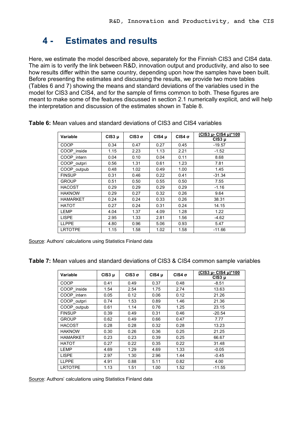## **4 Estimates and results**

Here, we estimate the model described above, separately for the Finnish CIS3 and CIS4 data. The aim is to verify the link between R&D, innovation output and productivity, and also to see how results differ within the same country, depending upon how the samples have been built. Before presenting the estimates and discussing the results, we provide two more tables (Tables 6 and 7) showing the means and standard deviations of the variables used in the model for CIS3 and CIS4, and for the sample of firms common to both. These figures are meant to make some of the features discussed in section 2.1 numerically explicit, and will help the interpretation and discussion of the estimates shown in Table 8.

| Variable        | $CIS3$ µ | $CIS3 \sigma$ | $CIS4$ µ | $CIS4 \sigma$ | $(CIS3 \mu - CIS4 \mu)^*100$<br>$CIS3\mu$ |
|-----------------|----------|---------------|----------|---------------|-------------------------------------------|
| COOP            | 0.34     | 0.47          | 0.27     | 0.45          | $-19.57$                                  |
| COOP_inside     | 1.15     | 2.23          | 1.13     | 2.21          | $-1.52$                                   |
| COOP intern     | 0.04     | 0.10          | 0.04     | 0.11          | 8.68                                      |
| COOP outpri     | 0.56     | 1.31          | 0.61     | 1.23          | 7.81                                      |
| COOP_outpub     | 0.48     | 1.02          | 0.49     | 1.00          | 1.45                                      |
| <b>FINSUP</b>   | 0.31     | 0.46          | 0.22     | 0.41          | $-31.34$                                  |
| <b>GROUP</b>    | 0.51     | 0.50          | 0.55     | 0.50          | 7.55                                      |
| <b>HACOST</b>   | 0.29     | 0.29          | 0.29     | 0.29          | $-1.16$                                   |
| <b>HAKNOW</b>   | 0.29     | 0.27          | 0.32     | 0.26          | 9.64                                      |
| <b>HAMARKET</b> | 0.24     | 0.24          | 0.33     | 0.26          | 38.31                                     |
| <b>HATOT</b>    | 0.27     | 0.24          | 0.31     | 0.24          | 14.15                                     |
| LEMP            | 4.04     | 1.37          | 4.09     | 1.28          | 1.22                                      |
| <b>LISPE</b>    | 2.95     | 1.33          | 2.81     | 1.56          | $-4.62$                                   |
| <b>LLPPE</b>    | 4.80     | 0.96          | 5.06     | 0.93          | 5.47                                      |
| <b>LRTOTPE</b>  | 1.15     | 1.58          | 1.02     | 1.58          | $-11.66$                                  |

**Table 6:** Mean values and standard deviations of CIS3 and CIS4 variables

Source: Authors' calculations using Statistics Finland data

**Table 7:** Mean values and standard deviations of CIS3 & CIS4 common sample variables

| Variable        | $CIS3$ $\mu$ | $CIS3 \sigma$ | CIS4 µ       | $CIS4 \sigma$ | $(CIS3 \mu - CIS4 \mu)^*100$<br>$CIS3$ µ |
|-----------------|--------------|---------------|--------------|---------------|------------------------------------------|
| COOP            | 0.41         | 0.49          | 0.37         | 0.48          | $-8.51$                                  |
| COOP_inside     | 1.54         | 2.54          | 1.75         | 2.74          | 13.63                                    |
| COOP intern     | 0.05         | 0.12          | 0.06         | 0.12          | 21.26                                    |
| COOP outpri     | 0.74         | 1.53          | 0.89         | 1.46          | 21.36                                    |
| COOP_outpub     | 0.61         | 1.14          | 0.76         | 1.25          | 23.15                                    |
| <b>FINSUP</b>   | 0.39         | 0.49          | 0.31<br>0.46 |               | $-20.54$                                 |
| <b>GROUP</b>    | 0.62         | 0.49          | 0.66<br>0.47 |               | 7.77                                     |
| <b>HACOST</b>   | 0.28         | 0.28          | 0.32         | 0.28          | 13.23                                    |
| <b>HAKNOW</b>   | 0.30         | 0.26          | 0.36         | 0.25          | 21.25                                    |
| <b>HAMARKET</b> | 0.23         | 0.23          | 0.39         | 0.25          | 66.67                                    |
| <b>HATOT</b>    | 0.27         | 0.22          | 0.35         | 0.22          | 31.48                                    |
| LEMP            | 4.69         | 1.29          | 4.69         | 1.33          | $-0.05$                                  |
| <b>LISPE</b>    | 2.97         | 1.30          | 2.96         | 1.44          | $-0.45$                                  |
| <b>LLPPE</b>    | 4.91         | 0.88          | 5.11         | 0.82          | 4.00                                     |
| <b>LRTOTPE</b>  | 1.13         | 1.51          | 1.00         | 1.52          | $-11.55$                                 |

Source: Authors' calculations using Statistics Finland data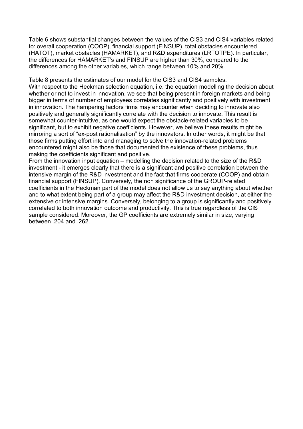Table 6 shows substantial changes between the values of the CIS3 and CIS4 variables related to: overall cooperation (COOP), financial support (FINSUP), total obstacles encountered (HATOT), market obstacles (HAMARKET), and R&D expenditures (LRTOTPE). In particular, the differences for HAMARKET's and FINSUP are higher than 30%, compared to the differences among the other variables, which range between 10% and 20%.

Table 8 presents the estimates of our model for the CIS3 and CIS4 samples. With respect to the Heckman selection equation, i.e. the equation modelling the decision about whether or not to invest in innovation, we see that being present in foreign markets and being bigger in terms of number of employees correlates significantly and positively with investment in innovation. The hampering factors firms may encounter when deciding to innovate also positively and generally significantly correlate with the decision to innovate. This result is somewhat counter-intuitive, as one would expect the obstacle-related variables to be significant, but to exhibit negative coefficients. However, we believe these results might be mirroring a sort of "ex-post rationalisation" by the innovators. In other words, it might be that those firms putting effort into and managing to solve the innovation-related problems encountered might also be those that documented the existence of these problems, thus making the coefficients significant and positive.

From the innovation input equation – modelling the decision related to the size of the R&D investment - it emerges clearly that there is a significant and positive correlation between the intensive margin of the R&D investment and the fact that firms cooperate (COOP) and obtain financial support (FINSUP). Conversely, the non significance of the GROUP-related coefficients in the Heckman part of the model does not allow us to say anything about whether and to what extent being part of a group may affect the R&D investment decision, at either the extensive or intensive margins. Conversely, belonging to a group is significantly and positively correlated to both innovation outcome and productivity. This is true regardless of the CIS sample considered. Moreover, the GP coefficients are extremely similar in size, varying between .204 and .262.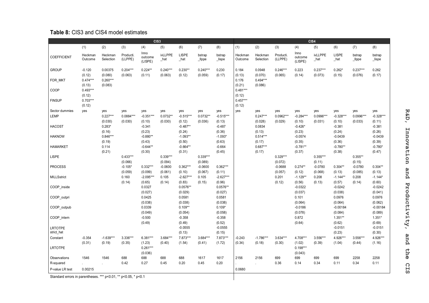#### **Table 8:** CIS3 and CIS4 model estimates

|                                   |                      |                               |                       |                                 | CIS <sub>3</sub>      |                                     |                       |                                   | CIS4                 |                             |                       |                                   |                           |                                   |                              |                                  |
|-----------------------------------|----------------------|-------------------------------|-----------------------|---------------------------------|-----------------------|-------------------------------------|-----------------------|-----------------------------------|----------------------|-----------------------------|-----------------------|-----------------------------------|---------------------------|-----------------------------------|------------------------------|----------------------------------|
|                                   | (1)                  | (2)                           | (3)                   | (4)                             | (5)                   | (6)                                 | (7)                   | (8)                               | (1)                  | (2)                         | (3)                   | (4)                               | (5)                       | (6)                               | (7)                          | (8)                              |
| <b>COEFFICIENT</b>                | Heckman<br>Outcome   | Heckman<br>Selection          | Producti.<br>(LLPPE)  | Inno<br>outcome<br>(LISPE)      | ivLLPPE<br>$\_hat$    | <b>LISPE</b><br>$\_hat$             | bstrap<br>$Il$ ppe    | bstrap<br>_lispe                  | Heckman<br>Outcome   | Heckman<br>Selection        | Producti.<br>(LLPPE)  | Inno<br>outcome<br>(LISPE)        | <b>ivLLPPE</b><br>$\_hat$ | LISPE<br>$\_hat$                  | bstrap<br>$_{\perp}$     ppe | bstrap<br>$_{\perp}$ lispe       |
| <b>GROUP</b>                      | $-0.120$<br>(0.12)   | 0.00375<br>(0.080)            | $0.204***$<br>(0.063) | $0.224**$<br>(0.11)             | $0.240***$<br>(0.063) | $0.230**$<br>(0.12)                 | $0.240***$<br>(0.059) | 0.230<br>(0.17)                   | 0.184<br>(0.13)      | 0.0948<br>(0.070)           | $0.246***$<br>(0.065) | 0.223<br>(0.14)                   | $0.237***$<br>(0.073)     | $0.262*$<br>(0.15)                | $0.237***$<br>(0.076)        | 0.262<br>(0.17)                  |
| FOR_MKT                           | $0.474***$<br>(0.13) | $0.260***$<br>(0.083)         |                       |                                 |                       |                                     |                       |                                   | 0.176<br>(0.21)      | $0.494***$<br>(0.086)       |                       |                                   |                           |                                   |                              |                                  |
| COOP                              | $0.493***$<br>(0.12) |                               |                       |                                 |                       |                                     |                       |                                   | $0.481***$<br>(0.12) |                             |                       |                                   |                           |                                   |                              |                                  |
| <b>FINSUP</b>                     | $0.703***$<br>(0.12) |                               |                       |                                 |                       |                                     |                       |                                   | $0.457***$<br>(0.12) |                             |                       |                                   |                           |                                   |                              |                                  |
| Sector dummies<br><b>LEMP</b>     | yes                  | yes<br>$0.227***$             | yes<br>$0.0884***$    | yes<br>$-0.351***$              | yes<br>$0.0732**$     | yes<br>$-0.515***$                  | yes<br>$0.0732**$     | yes<br>$-0.515***$                | yes                  | yes<br>$0.247***$           | yes<br>0.0962***      | yes<br>$-0.284***$                | yes<br>0.0996***          | yes<br>$-0.328***$                | yes<br>0.0996***             | yes<br>$-0.328***$               |
| <b>HACOST</b>                     |                      | (0.030)<br>$0.283*$<br>(0.16) | (0.030)               | (0.10)<br>$-0.341$<br>(0.23)    | (0.030)               | (0.12)<br>$-0.487**$<br>(0.24)      | (0.036)               | (0.13)<br>$-0.487$<br>(0.36)      |                      | (0.028)<br>0.0834<br>(0.13) | (0.029)               | (0.10)<br>$-0.426*$<br>(0.23)     | (0.031)                   | (0.10)<br>$-0.381$<br>(0.24)      | (0.033)                      | (0.11)<br>$-0.381$<br>(0.26)     |
| <b>HAKNOW</b>                     |                      | $0.846***$<br>(0.19)          |                       | $-0.880**$<br>(0.43)            |                       | $-1.093**$<br>(0.50)                |                       | $-1.093*$<br>(0.63)               |                      | $0.514***$<br>(0.17)        |                       | $-0.0574$<br>(0.35)               |                           | $-0.0439$<br>(0.36)               |                              | $-0.0439$<br>(0.39)              |
| <b>HAMARKET</b>                   |                      | 0.114<br>(0.21)               |                       | $-0.644**$<br>(0.30)            |                       | $-0.664**$<br>(0.31)                |                       | $-0.664$<br>(0.45)                |                      | $0.687***$<br>(0.17)        |                       | $-0.781**$<br>(0.37)              |                           | $-0.780**$<br>(0.38)              |                              | $-0.780*$<br>(0.47)              |
| <b>LISPE</b>                      |                      |                               | $0.433***$<br>(0.066) |                                 | $0.339***$<br>(0.094) |                                     | $0.339***$<br>(0.089) |                                   |                      |                             | $0.329***$<br>(0.072) |                                   | $0.355***$<br>(0.11)      |                                   | $0.355**$<br>(0.15)          |                                  |
| <b>PROCESS</b>                    |                      |                               | $-0.105*$<br>(0.059)  | $0.332***$<br>(0.099)           | $-0.0600$<br>(0.061)  | $0.362***$<br>(0.10)                | $-0.0600$<br>(0.067)  | $0.362***$<br>(0.11)              |                      |                             | $-0.0688$<br>(0.057)  | $0.274**$<br>(0.12)               | $-0.0780$<br>(0.068)      | $0.304**$<br>(0.13)               | $-0.0780$<br>(0.085)         | $0.304**$<br>(0.13)              |
| <b>MILLSstrict</b><br>COOP_inside |                      |                               | 0.160<br>(0.14)       | $-2.095***$<br>(0.65)<br>0.0327 | 0.105<br>(0.14)       | $-2.627***$<br>(0.83)<br>$0.0576**$ | 0.105<br>(0.15)       | $-2.627***$<br>(0.96)<br>0.0576** |                      |                             | 0.201<br>(0.12)       | $-1.129**$<br>(0.56)<br>$-0.0322$ | 0.208<br>(0.13)           | $-1.144**$<br>(0.57)<br>$-0.0242$ | 0.208<br>(0.14)              | $-1.144*$<br>(0.60)<br>$-0.0242$ |
| COOP outpri                       |                      |                               |                       | (0.027)<br>0.0425               |                       | (0.029)<br>0.0581                   |                       | (0.027)<br>0.0581                 |                      |                             |                       | (0.037)<br>0.101                  |                           | (0.038)<br>0.0976                 |                              | (0.041)<br>0.0976                |
| COOP_outpub                       |                      |                               |                       | (0.038)<br>0.0339               |                       | (0.038)<br>$0.109**$                |                       | (0.038)<br>$0.109*$               |                      |                             |                       | (0.064)<br>$-0.0186$              |                           | (0.064)<br>$-0.00184$             |                              | (0.062)<br>$-0.00184$            |
| COOP intern                       |                      |                               |                       | (0.049)<br>$-0.500$             |                       | (0.054)<br>$-0.358$                 |                       | (0.058)<br>$-0.358$               |                      |                             |                       | (0.078)<br>0.872                  |                           | (0.084)<br>$1.351**$              |                              | (0.089)<br>$1.351*$              |
| <b>LRTOTPE</b><br>strict_hat      |                      |                               |                       | (0.49)                          |                       | (0.49)<br>$-0.0555$<br>(0.13)       |                       | (0.52)<br>$-0.0555$<br>(0.15)     |                      |                             |                       | (0.64)                            |                           | (0.62)<br>$-0.0151$<br>(0.23)     |                              | (0.69)<br>$-0.0151$<br>(0.30)    |
| Constant                          | $-0.354$<br>(0.31)   | $-1.639***$<br>(0.19)         | 3.336***<br>(0.35)    | 6.381***<br>(1.23)              | 3.684***<br>(0.40)    | 7.873***<br>(1.54)                  | 3.684***<br>(0.41)    | 7.873***<br>(1.72)                | $-0.243$<br>(0.34)   | $-1.786***$<br>(0.18)       | 3.634***<br>(0.30)    | 4.708***<br>(1.02)                | 3.556***<br>(0.39)        | 4.926***<br>(1.04)                | 3.556***<br>(0.44)           | 4.926***<br>(1.16)               |
| <b>LRTOTPE</b>                    |                      |                               |                       | $0.261***$<br>(0.036)           |                       |                                     |                       |                                   |                      |                             |                       | $0.198***$<br>(0.043)             |                           |                                   |                              |                                  |
| Observations                      | 1546                 | 1546                          | 688                   | 688                             | 688                   | 688                                 | 1617                  | 1617                              | 2156                 | 2156                        | 699                   | 699                               | 699                       | 699                               | 2258                         | 2258                             |
| R-squared                         |                      |                               | 0.42                  | 0.27                            | 0.45                  | 0.20                                | 0.45                  | 0.20                              |                      |                             | 0.36                  | 0.14                              | 0.34                      | 0.11                              | 0.34                         | 0.11                             |
| P-value LR test                   | 0.00215              |                               |                       |                                 |                       |                                     |                       |                                   | 0.0680               |                             |                       |                                   |                           |                                   |                              |                                  |

Standard errors in parentheses. \*\*\* p<0.01, \*\* p<0.05, \* p<0.1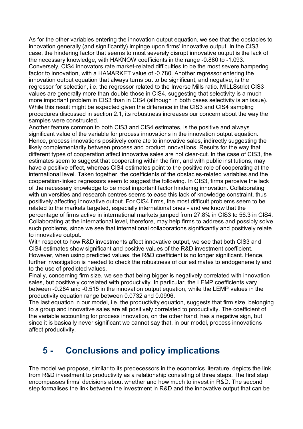As for the other variables entering the innovation output equation, we see that the obstacles to innovation generally (and significantly) impinge upon firms' innovative output. In the CIS3 case, the hindering factor that seems to most severely disrupt innovative output is the lack of the necessary knowledge, with HAKNOW coefficients in the range -0.880 to -1.093. Conversely, CIS4 innovators rate market-related difficulties to be the most severe hampering factor to innovation, with a HAMARKET value of -0.780. Another regressor entering the innovation output equation that always turns out to be significant, and negative, is the regressor for selection, i.e. the regressor related to the Inverse Mills ratio. MILLSstrict CIS3 values are generally more than double those in CIS4, suggesting that selectivity is a much more important problem in CIS3 than in CIS4 (although in both cases selectivity is an issue). While this result might be expected given the difference in the CIS3 and CIS4 sampling procedures discussed in section 2.1, its robustness increases our concern about the way the samples were constructed.

Another feature common to both CIS3 and CIS4 estimates, is the positive and always significant value of the variable for process innovations in the innovation output equation. Hence, process innovations positively correlate to innovative sales, indirectly suggesting the likely complementarity between process and product innovations. Results for the way that different types of cooperation affect innovative sales are not clear-cut. In the case of CIS3, the estimates seem to suggest that cooperating within the firm, and with public institutions, may have a positive effect, whereas CIS4 estimates point to the positive role of cooperating at the international level. Taken together, the coefficients of the obstacles-related variables and the cooperation-linked regressors seem to suggest the following. In CIS3, firms perceive the lack of the necessary knowledge to be most important factor hindering innovation. Collaborating with universities and research centres seems to ease this lack of knowledge constraint, thus positively affecting innovative output. For CIS4 firms, the most difficult problems seem to be related to the markets targeted, especially international ones - and we know that the percentage of firms active in international markets jumped from 27.8% in CIS3 to 56.3 in CIS4. Collaborating at the international level, therefore, may help firms to address and possibly solve such problems, since we see that international collaborations significantly and positively relate to innovative output.

With respect to how R&D investments affect innovative output, we see that both CIS3 and CIS4 estimates show significant and positive values of the R&D investment coefficient. However, when using predicted values, the R&D coefficient is no longer significant. Hence, further investigation is needed to check the robustness of our estimates to endogeneneity and to the use of predicted values.

Finally, concerning firm size, we see that being bigger is negatively correlated with innovation sales, but positively correlated with productivity. In particular, the LEMP coefficients vary between -0.284 and -0.515 in the innovation output equation, while the LEMP values in the productivity equation range between 0.0732 and 0.0996.

The last equation in our model, i.e. the productivity equation, suggests that firm size, belonging to a group and innovative sales are all positively correlated to productivity. The coefficient of the variable accounting for process innovation, on the other hand, has a negative sign, but since it is basically never significant we cannot say that, in our model, process innovations affect productivity.

## **5 Conclusions and policy implications**

The model we propose, similar to its predecessors in the economics literature, depicts the link from R&D investment to productivity as a relationship consisting of three steps. The first step encompasses firms' decisions about whether and how much to invest in R&D. The second step formalises the link between the investment in R&D and the innovative output that can be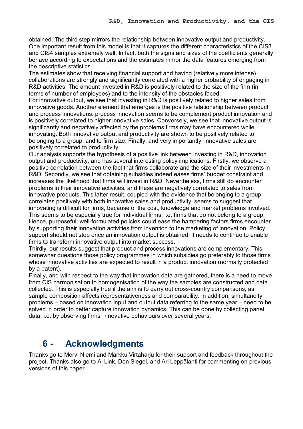obtained. The third step mirrors the relationship between innovative output and productivity. One important result from this model is that it captures the different characteristics of the CIS3 and CIS4 samples extremely well. In fact, both the signs and sizes of the coefficients generally behave according to expectations and the estimates mirror the data features emerging from the descriptive statistics.

The estimates show that receiving financial support and having (relatively more intense) collaborations are strongly and significantly correlated with a higher probability of engaging in R&D activities. The amount invested in R&D is positively related to the size of the firm (in terms of number of employees) and to the intensity of the obstacles faced.

For innovative output, we see that investing in R&D is positively related to higher sales from innovative goods. Another element that emerges is the positive relationship between product and process innovations: process innovation seems to be complement product innovation and is positively correlated to higher innovative sales. Conversely, we see that innovative output is significantly and negatively affected by the problems firms may have encountered while innovating. Both innovative output and productivity are shown to be positively related to belonging to a group, and to firm size. Finally, and very importantly, innovative sales are positively correlated to productivity.

Our analysis supports the hypothesis of a positive link between investing in R&D, innovation output and productivity, and has several interesting policy implications. Firstly, we observe a positive correlation between the fact that firms collaborate and the size of their investments in R&D. Secondly, we see that obtaining subsidies indeed eases firms' budget constraint and increases the likelihood that firms will invest in R&D. Nevertheless, firms still do encounter problems in their innovative activities, and these are negatively correlated to sales from innovative products. This latter result, coupled with the evidence that belonging to a group correlates positively with both innovative sales and productivity, seems to suggest that innovating is difficult for firms, because of the cost, knowledge and market problems involved. This seems to be especially true for individual firms, i.e. firms that do not belong to a group. Hence, purposeful, well-formulated policies could ease the hampering factors firms encounter by supporting their innovation activities from invention to the marketing of innovation. Policy support should not stop once an innovation output is obtained; it needs to continue to enable firms to transform innovative output into market success.

Thirdly, our results suggest that product and process innovations are complementary. This somewhar questions those policy programmes in which subsidies go preferably to those firms whose innovative activities are expected to result in a product innovation (normally protected by a patent).

Finally, and with respect to the way that innovation data are gathered, there is a need to move from CIS harmonisation to homogenisation of the way the samples are constructed and data collected. This is especially true if the aim is to carry out cross-country comparisons, as sample composition affects representativeness and comparability. In addition, simultaneity problems – based on innovation input and output data referring to the same year – need to be solved in order to better capture innovation dynamics. This can be done by collecting panel data, i.e. by observing firms' innovative behaviours over several years.

## **6 Acknowledgments**

Thanks go to Mervi Niemi and Markku Virtaharju for their support and feedback throughout the project. Thanks also go to Al Link, Don Siegel, and Ari Leppälahti for commenting on previous versions of this paper.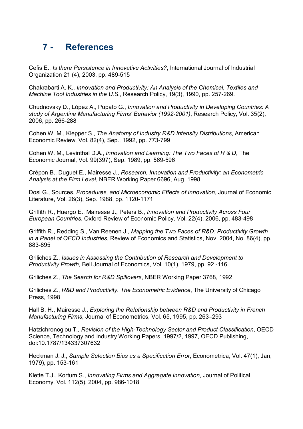## **7 References**

Cefis E., *Is there Persistence in Innovative Activities?*, International Journal of Industrial Organization 21 (4), 2003, pp. 489-515

Chakrabarti A. K., *Innovation and Productivity: An Analysis of the Chemical, Textiles and Machine Tool Industries in the U.S.*, Research Policy, 19(3), 1990, pp. 257-269.

Chudnovsky D., López A., Pupato G., *Innovation and Productivity in Developing Countries: A*  study of Argentine Manufacturing Firms' Behavior (1992-2001), Research Policy, Vol. 35(2), 2006, pp. 266-288

Cohen W. M., Klepper S., *The Anatomy of Industry R&D Intensity Distributions*, American Economic Review, Vol. 82(4), Sep., 1992, pp. 773-799

Cohen W. M., Levinthal D.A., *Innovation and Learning: The Two Faces of R & D*, The Economic Journal, Vol. 99(397), Sep. 1989, pp. 569-596

Crépon B., Duguet E., Mairesse J., *Research, Innovation and Productivity: an Econometric Analysis at the Firm Level*, NBER Working Paper 6696, Aug. 1998

Dosi G., Sources, *Procedures, and Microeconomic Effects of Innovation*, Journal of Economic Literature, Vol. 26(3), Sep. 1988, pp. 1120-1171

Griffith R., Huergo E., Mairesse J., Peters B., *Innovation and Productivity Across Four European Countries, Oxford Review of Economic Policy, Vol. 22(4), 2006, pp. 483-498* 

Griffith R., Redding S., Van Reenen J., *Mapping the Two Faces of R&D: Productivity Growth in a Panel of OECD Industries*, Review of Economics and Statistics, Nov. 2004, No. 86(4), pp. 883-895

Griliches Z., *Issues in Assessing the Contribution of Research and Development to Productivity Prowth, Bell Journal of Economics, Vol. 10(1), 1979, pp. 92 -116.* 

Griliches Z., *The Search for R&D Spillovers*, NBER Working Paper 3768, 1992

Griliches Z., *R&D and Productivity. The Econometric Evidence*, The University of Chicago Press, 1998

Hall B. H., Mairesse J., *Exploring the Relationship between R&D and Productivity in French Manufacturing Firms*, Journal of Econometrics, Vol. 65, 1995, pp. 263–293

Hatzichronoglou T., Revision of the High-Technology Sector and Product Classification, OECD Science, Technology and Industry Working Papers, 1997/2, 1997, OECD Publishing, doi:10.1787/134337307632

Heckman J. J., *Sample Selection Bias as a Specification Error*, Econometrica, Vol. 47(1), Jan, 1979), pp. 153-161

Klette T.J., Kortum S., *Innovating Firms and Aggregate Innovation*, Journal of Political Economy, Vol. 112(5), 2004, pp. 986-1018